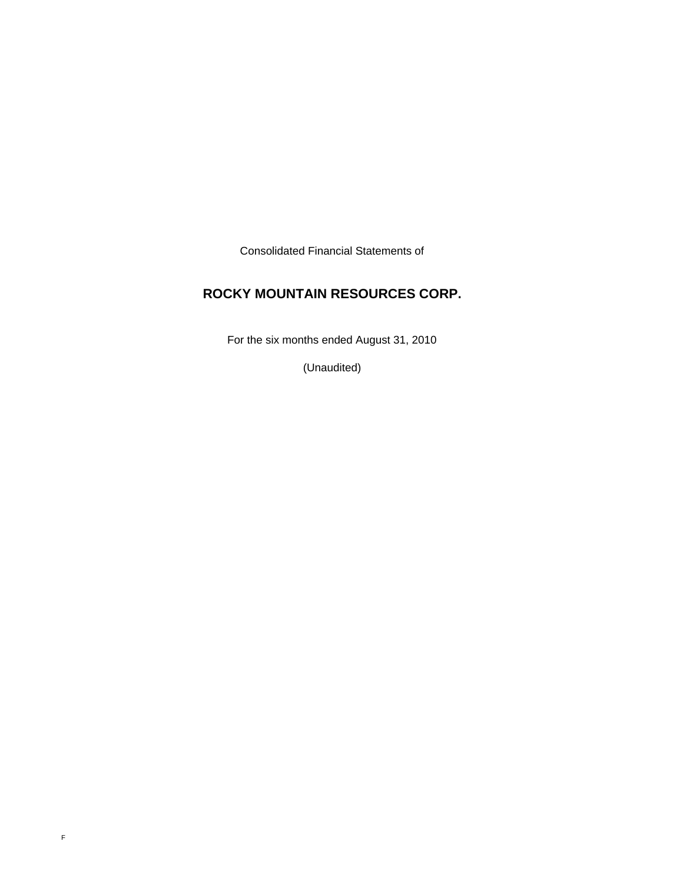Consolidated Financial Statements of

# **ROCKY MOUNTAIN RESOURCES CORP.**

For the six months ended August 31, 2010

(Unaudited)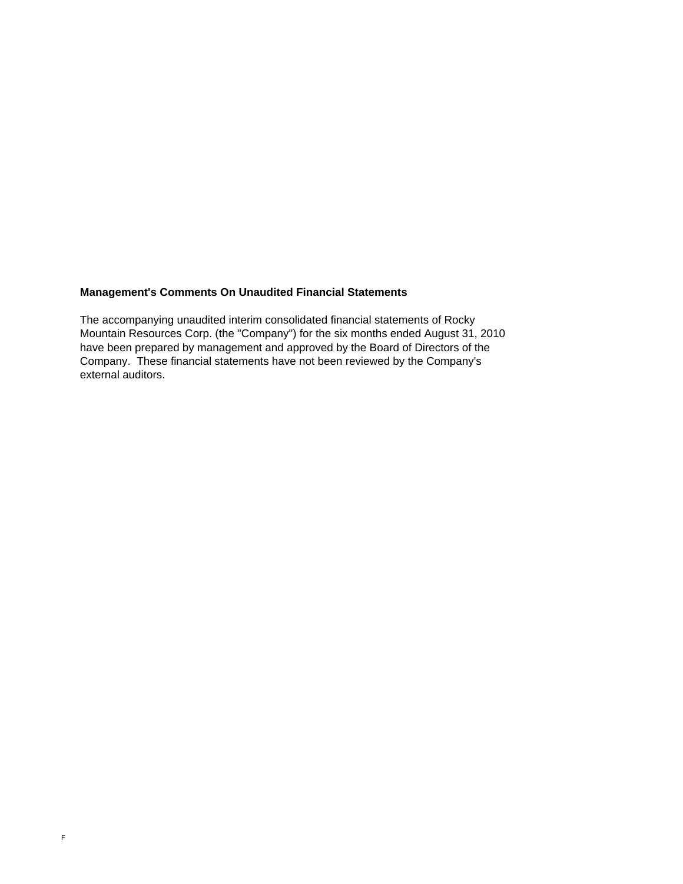# **Management's Comments On Unaudited Financial Statements**

The accompanying unaudited interim consolidated financial statements of Rocky Mountain Resources Corp. (the "Company") for the six months ended August 31, 2010 have been prepared by management and approved by the Board of Directors of the Company. These financial statements have not been reviewed by the Company's external auditors.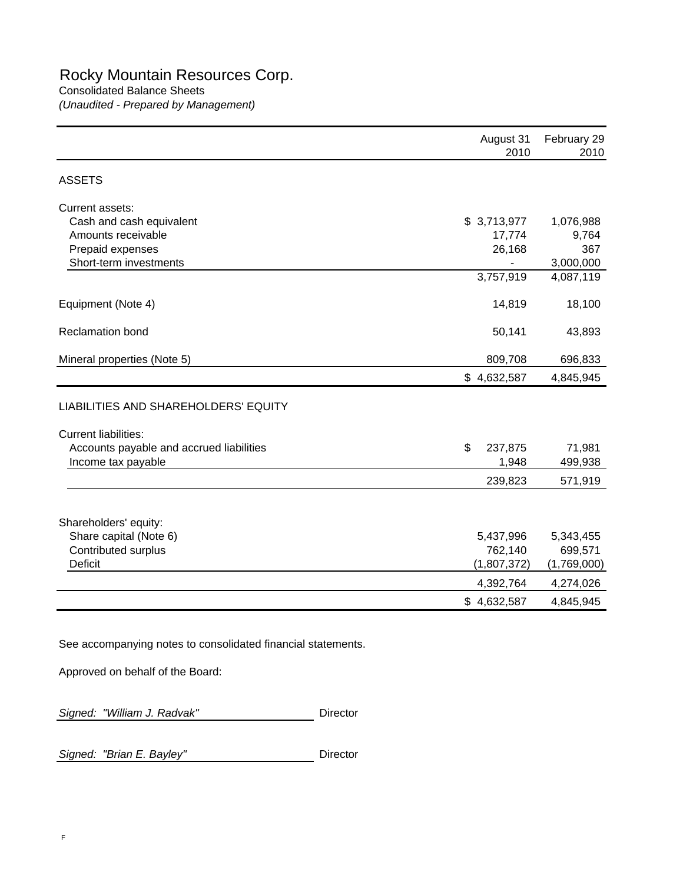*(Unaudited - Prepared by Management)*

|                                                 | August 31<br>2010    | February 29<br>2010 |
|-------------------------------------------------|----------------------|---------------------|
| <b>ASSETS</b>                                   |                      |                     |
| Current assets:                                 |                      |                     |
| Cash and cash equivalent                        | \$3,713,977          | 1,076,988           |
| Amounts receivable                              | 17,774               | 9,764               |
| Prepaid expenses<br>Short-term investments      | 26,168               | 367<br>3,000,000    |
|                                                 | 3,757,919            | 4,087,119           |
| Equipment (Note 4)                              | 14,819               | 18,100              |
| Reclamation bond                                | 50,141               | 43,893              |
| Mineral properties (Note 5)                     | 809,708              | 696,833             |
|                                                 | \$4,632,587          | 4,845,945           |
| LIABILITIES AND SHAREHOLDERS' EQUITY            |                      |                     |
| <b>Current liabilities:</b>                     |                      |                     |
| Accounts payable and accrued liabilities        | \$<br>237,875        | 71,981              |
| Income tax payable                              | 1,948                | 499,938             |
|                                                 | 239,823              | 571,919             |
|                                                 |                      |                     |
| Shareholders' equity:<br>Share capital (Note 6) |                      | 5,343,455           |
| Contributed surplus                             | 5,437,996<br>762,140 | 699,571             |
| <b>Deficit</b>                                  | (1,807,372)          | (1,769,000)         |
|                                                 | 4,392,764            | 4,274,026           |
|                                                 | \$4,632,587          | 4,845,945           |
|                                                 |                      |                     |

See accompanying notes to consolidated financial statements.

Approved on behalf of the Board:

|  | Signed: "William J. Radvak" |  | Director |
|--|-----------------------------|--|----------|
|--|-----------------------------|--|----------|

**Signed: "Brian E. Bayley"** Director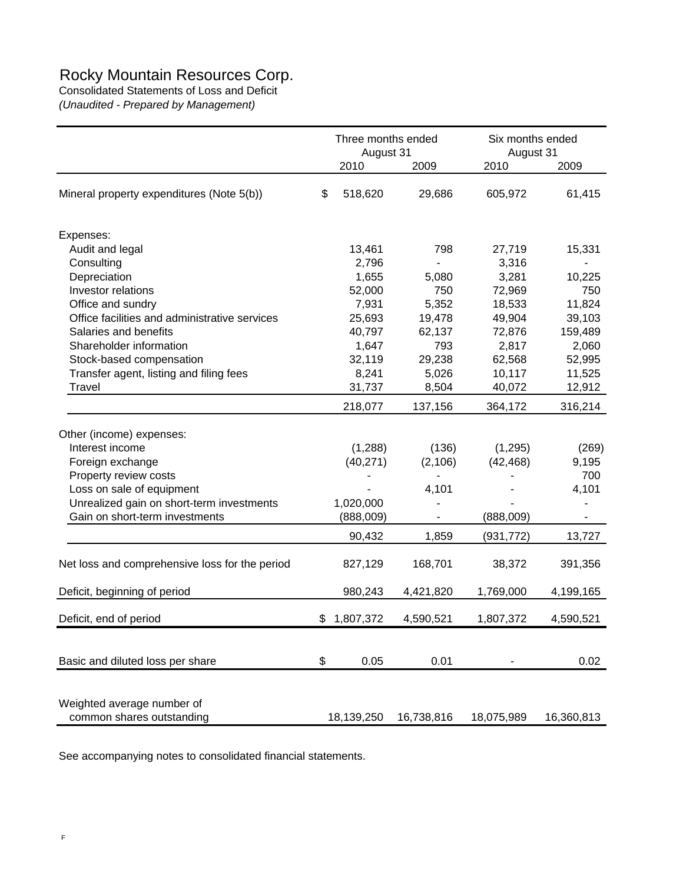# Rocky Mountain Resources Corp.

Consolidated Statements of Loss and Deficit *(Unaudited - Prepared by Management)*

|                                                | Three months ended<br>August 31 |            | Six months ended<br>August 31 |            |            |
|------------------------------------------------|---------------------------------|------------|-------------------------------|------------|------------|
|                                                |                                 | 2010       | 2009                          | 2010       | 2009       |
| Mineral property expenditures (Note 5(b))      |                                 | 518,620    | 29,686                        | 605,972    | 61,415     |
| Expenses:                                      |                                 |            |                               |            |            |
| Audit and legal                                |                                 | 13,461     | 798                           | 27,719     | 15,331     |
| Consulting                                     |                                 | 2,796      |                               | 3,316      |            |
| Depreciation                                   |                                 | 1,655      | 5,080                         | 3,281      | 10,225     |
| Investor relations                             |                                 | 52,000     | 750                           | 72,969     | 750        |
| Office and sundry                              |                                 | 7,931      | 5,352                         | 18,533     | 11,824     |
| Office facilities and administrative services  |                                 | 25,693     | 19,478                        | 49,904     | 39,103     |
| Salaries and benefits                          |                                 | 40,797     | 62,137                        | 72,876     | 159,489    |
| Shareholder information                        |                                 | 1,647      | 793                           | 2,817      | 2,060      |
| Stock-based compensation                       |                                 | 32,119     | 29,238                        | 62,568     | 52,995     |
| Transfer agent, listing and filing fees        |                                 | 8,241      | 5,026                         | 10,117     | 11,525     |
| Travel                                         |                                 | 31,737     | 8,504                         | 40,072     | 12,912     |
|                                                |                                 | 218,077    | 137,156                       | 364,172    | 316,214    |
| Other (income) expenses:                       |                                 |            |                               |            |            |
| Interest income                                |                                 | (1,288)    | (136)                         | (1, 295)   | (269)      |
| Foreign exchange                               |                                 | (40, 271)  | (2, 106)                      | (42, 468)  | 9,195      |
| Property review costs                          |                                 |            |                               |            | 700        |
| Loss on sale of equipment                      |                                 |            | 4,101                         |            | 4,101      |
| Unrealized gain on short-term investments      |                                 | 1,020,000  |                               |            |            |
| Gain on short-term investments                 |                                 | (888,009)  |                               | (888,009)  |            |
|                                                |                                 | 90,432     | 1,859                         | (931, 772) | 13,727     |
| Net loss and comprehensive loss for the period |                                 | 827,129    | 168,701                       | 38,372     | 391,356    |
| Deficit, beginning of period                   |                                 | 980,243    | 4,421,820                     | 1,769,000  | 4,199,165  |
| Deficit, end of period                         | \$                              | 1,807,372  | 4,590,521                     | 1,807,372  | 4,590,521  |
|                                                |                                 |            |                               |            |            |
| Basic and diluted loss per share               | \$                              | 0.05       | 0.01                          |            | 0.02       |
|                                                |                                 |            |                               |            |            |
| Weighted average number of                     |                                 |            |                               |            |            |
| common shares outstanding                      |                                 | 18,139,250 | 16,738,816                    | 18,075,989 | 16,360,813 |

See accompanying notes to consolidated financial statements.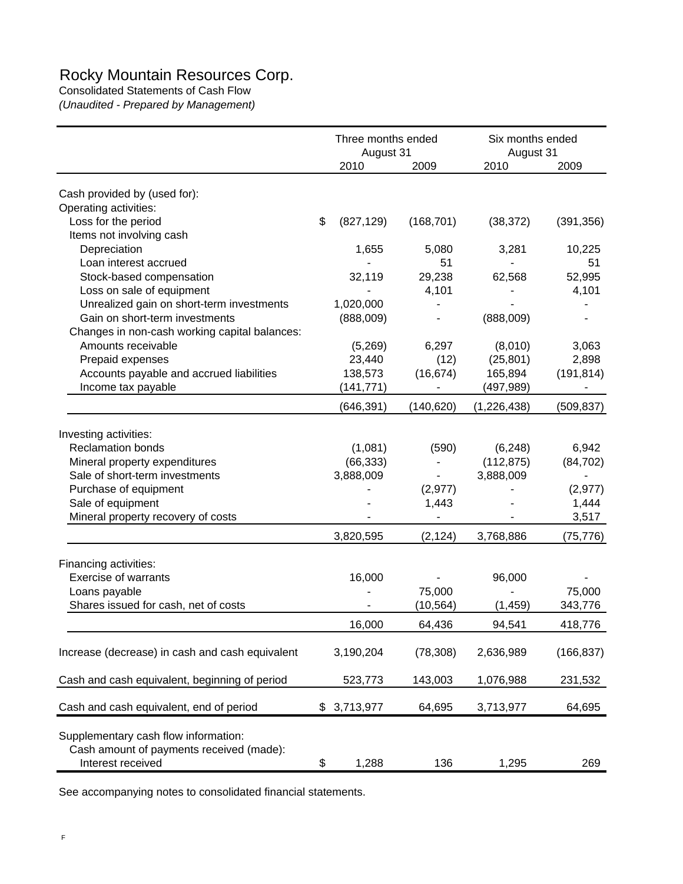# Rocky Mountain Resources Corp.

Consolidated Statements of Cash Flow *(Unaudited - Prepared by Management)*

|                                                                                                       | Three months ended<br>August 31 |            | Six months ended<br>August 31 |            |
|-------------------------------------------------------------------------------------------------------|---------------------------------|------------|-------------------------------|------------|
|                                                                                                       | 2010                            | 2009       | 2010                          | 2009       |
| Cash provided by (used for):                                                                          |                                 |            |                               |            |
| Operating activities:                                                                                 |                                 |            |                               |            |
| Loss for the period                                                                                   | \$<br>(827, 129)                | (168, 701) | (38, 372)                     | (391, 356) |
| Items not involving cash                                                                              |                                 |            |                               |            |
| Depreciation                                                                                          | 1,655                           | 5,080      | 3,281                         | 10,225     |
| Loan interest accrued                                                                                 |                                 | 51         |                               | 51         |
| Stock-based compensation                                                                              | 32,119                          | 29,238     | 62,568                        | 52,995     |
| Loss on sale of equipment                                                                             |                                 | 4,101      |                               | 4,101      |
| Unrealized gain on short-term investments                                                             | 1,020,000                       |            |                               |            |
| Gain on short-term investments                                                                        | (888,009)                       |            | (888,009)                     |            |
| Changes in non-cash working capital balances:                                                         |                                 |            |                               |            |
| Amounts receivable                                                                                    | (5,269)                         | 6,297      | (8,010)                       | 3,063      |
| Prepaid expenses                                                                                      | 23,440                          | (12)       |                               | 2,898      |
|                                                                                                       | 138,573                         |            | (25, 801)                     |            |
| Accounts payable and accrued liabilities                                                              |                                 | (16, 674)  | 165,894                       | (191, 814) |
| Income tax payable                                                                                    | (141, 771)                      |            | (497,989)                     |            |
|                                                                                                       | (646, 391)                      | (140, 620) | (1,226,438)                   | (509, 837) |
| Investing activities:                                                                                 |                                 |            |                               |            |
| <b>Reclamation bonds</b>                                                                              | (1,081)                         | (590)      | (6, 248)                      | 6,942      |
| Mineral property expenditures                                                                         | (66, 333)                       |            | (112, 875)                    | (84, 702)  |
| Sale of short-term investments                                                                        | 3,888,009                       |            | 3,888,009                     |            |
| Purchase of equipment                                                                                 |                                 | (2, 977)   |                               | (2, 977)   |
| Sale of equipment                                                                                     |                                 | 1,443      |                               | 1,444      |
| Mineral property recovery of costs                                                                    |                                 |            |                               | 3,517      |
|                                                                                                       |                                 |            |                               |            |
|                                                                                                       | 3,820,595                       | (2, 124)   | 3,768,886                     | (75, 776)  |
| Financing activities:                                                                                 |                                 |            |                               |            |
| <b>Exercise of warrants</b>                                                                           | 16,000                          |            | 96,000                        |            |
| Loans payable                                                                                         |                                 | 75,000     |                               | 75,000     |
| Shares issued for cash, net of costs                                                                  |                                 | (10, 564)  | (1, 459)                      | 343,776    |
|                                                                                                       | 16,000                          | 64,436     | 94,541                        | 418,776    |
|                                                                                                       |                                 |            |                               |            |
| Increase (decrease) in cash and cash equivalent                                                       | 3,190,204                       | (78, 308)  | 2,636,989                     | (166, 837) |
| Cash and cash equivalent, beginning of period                                                         | 523,773                         | 143,003    | 1,076,988                     | 231,532    |
| Cash and cash equivalent, end of period                                                               | \$3,713,977                     | 64,695     | 3,713,977                     | 64,695     |
| Supplementary cash flow information:<br>Cash amount of payments received (made):<br>Interest received | \$<br>1,288                     | 136        | 1,295                         | 269        |

See accompanying notes to consolidated financial statements.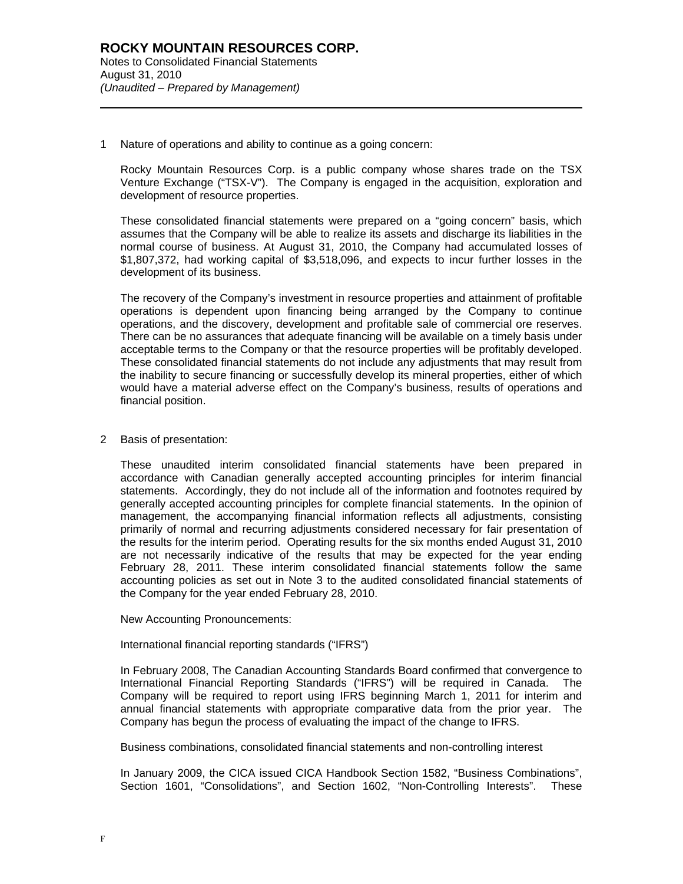1 Nature of operations and ability to continue as a going concern:

Rocky Mountain Resources Corp. is a public company whose shares trade on the TSX Venture Exchange ("TSX-V"). The Company is engaged in the acquisition, exploration and development of resource properties.

These consolidated financial statements were prepared on a "going concern" basis, which assumes that the Company will be able to realize its assets and discharge its liabilities in the normal course of business. At August 31, 2010, the Company had accumulated losses of \$1,807,372, had working capital of \$3,518,096, and expects to incur further losses in the development of its business.

The recovery of the Company's investment in resource properties and attainment of profitable operations is dependent upon financing being arranged by the Company to continue operations, and the discovery, development and profitable sale of commercial ore reserves. There can be no assurances that adequate financing will be available on a timely basis under acceptable terms to the Company or that the resource properties will be profitably developed. These consolidated financial statements do not include any adjustments that may result from the inability to secure financing or successfully develop its mineral properties, either of which would have a material adverse effect on the Company's business, results of operations and financial position.

### 2 Basis of presentation:

l

These unaudited interim consolidated financial statements have been prepared in accordance with Canadian generally accepted accounting principles for interim financial statements. Accordingly, they do not include all of the information and footnotes required by generally accepted accounting principles for complete financial statements. In the opinion of management, the accompanying financial information reflects all adjustments, consisting primarily of normal and recurring adjustments considered necessary for fair presentation of the results for the interim period. Operating results for the six months ended August 31, 2010 are not necessarily indicative of the results that may be expected for the year ending February 28, 2011. These interim consolidated financial statements follow the same accounting policies as set out in Note 3 to the audited consolidated financial statements of the Company for the year ended February 28, 2010.

New Accounting Pronouncements:

International financial reporting standards ("IFRS")

In February 2008, The Canadian Accounting Standards Board confirmed that convergence to International Financial Reporting Standards ("IFRS") will be required in Canada. The Company will be required to report using IFRS beginning March 1, 2011 for interim and annual financial statements with appropriate comparative data from the prior year. The Company has begun the process of evaluating the impact of the change to IFRS.

Business combinations, consolidated financial statements and non-controlling interest

In January 2009, the CICA issued CICA Handbook Section 1582, "Business Combinations", Section 1601, "Consolidations", and Section 1602, "Non-Controlling Interests". These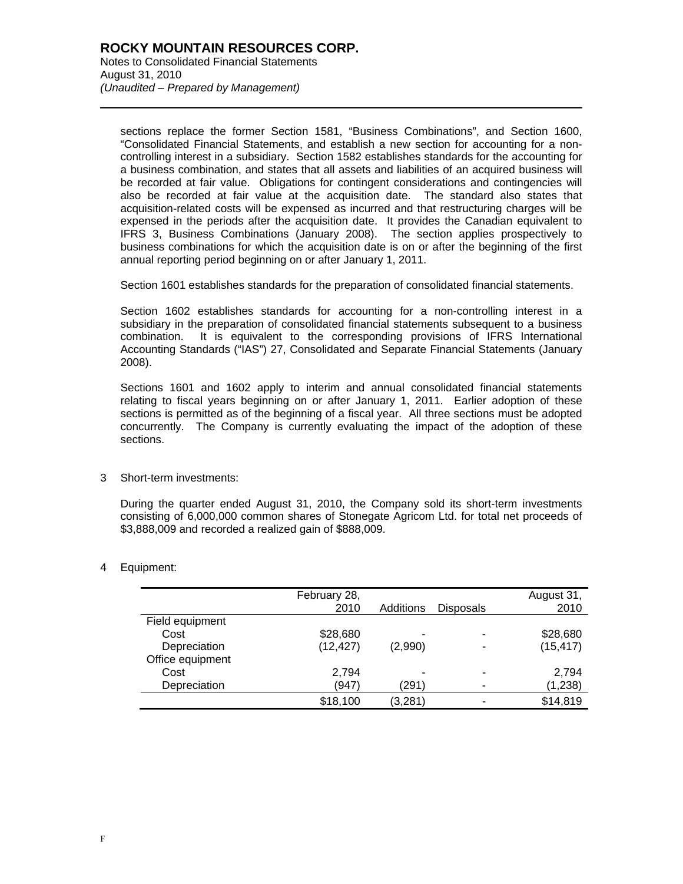sections replace the former Section 1581, "Business Combinations", and Section 1600, "Consolidated Financial Statements, and establish a new section for accounting for a noncontrolling interest in a subsidiary. Section 1582 establishes standards for the accounting for a business combination, and states that all assets and liabilities of an acquired business will be recorded at fair value. Obligations for contingent considerations and contingencies will also be recorded at fair value at the acquisition date. The standard also states that acquisition-related costs will be expensed as incurred and that restructuring charges will be expensed in the periods after the acquisition date. It provides the Canadian equivalent to IFRS 3, Business Combinations (January 2008). The section applies prospectively to business combinations for which the acquisition date is on or after the beginning of the first annual reporting period beginning on or after January 1, 2011.

Section 1601 establishes standards for the preparation of consolidated financial statements.

Section 1602 establishes standards for accounting for a non-controlling interest in a subsidiary in the preparation of consolidated financial statements subsequent to a business combination. It is equivalent to the corresponding provisions of IFRS International Accounting Standards ("IAS") 27, Consolidated and Separate Financial Statements (January 2008).

Sections 1601 and 1602 apply to interim and annual consolidated financial statements relating to fiscal years beginning on or after January 1, 2011. Earlier adoption of these sections is permitted as of the beginning of a fiscal year. All three sections must be adopted concurrently. The Company is currently evaluating the impact of the adoption of these sections.

3 Short-term investments:

During the quarter ended August 31, 2010, the Company sold its short-term investments consisting of 6,000,000 common shares of Stonegate Agricom Ltd. for total net proceeds of \$3,888,009 and recorded a realized gain of \$888,009.

4 Equipment:

l

|                  | February 28, |                          |                  | August 31, |
|------------------|--------------|--------------------------|------------------|------------|
|                  | 2010         | Additions                | <b>Disposals</b> | 2010       |
| Field equipment  |              |                          |                  |            |
| Cost             | \$28,680     | -                        | -                | \$28,680   |
| Depreciation     | (12, 427)    | (2,990)                  |                  | (15, 417)  |
| Office equipment |              |                          |                  |            |
| Cost             | 2,794        | $\overline{\phantom{0}}$ | -                | 2,794      |
| Depreciation     | (947)        | (291)                    |                  | (1,238)    |
|                  | \$18,100     | (3, 281)                 |                  | \$14,819   |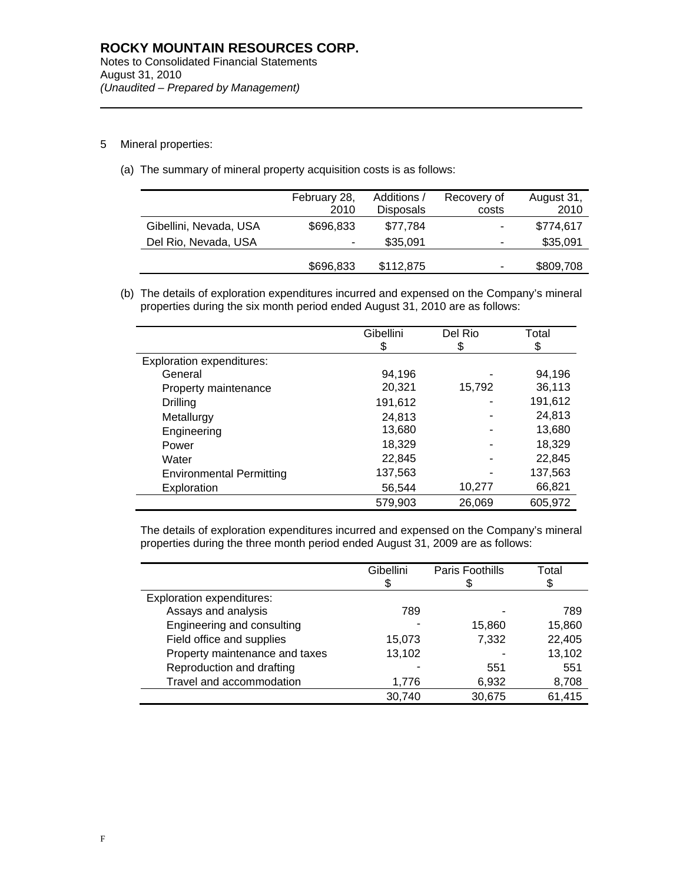5 Mineral properties:

l

(a) The summary of mineral property acquisition costs is as follows:

| February 28, | Additions /      | Recovery of | August 31, |
|--------------|------------------|-------------|------------|
| 2010         | <b>Disposals</b> | costs       | 2010       |
| \$696,833    | \$77,784         | ۰           | \$774,617  |
| ۰            | \$35,091         | ۰           | \$35,091   |
|              |                  |             |            |
|              |                  |             | \$809,708  |
|              | \$696,833        | \$112,875   | ۰          |

(b) The details of exploration expenditures incurred and expensed on the Company's mineral properties during the six month period ended August 31, 2010 are as follows:

|                                  | Gibellini<br>\$ | Del Rio<br>\$ | Total<br>\$ |
|----------------------------------|-----------------|---------------|-------------|
| <b>Exploration expenditures:</b> |                 |               |             |
| General                          | 94.196          |               | 94.196      |
| Property maintenance             | 20,321          | 15,792        | 36,113      |
| Drilling                         | 191,612         |               | 191,612     |
| Metallurgy                       | 24,813          |               | 24,813      |
| Engineering                      | 13,680          |               | 13,680      |
| Power                            | 18,329          |               | 18,329      |
| Water                            | 22,845          |               | 22,845      |
| <b>Environmental Permitting</b>  | 137,563         |               | 137,563     |
| Exploration                      | 56,544          | 10,277        | 66,821      |
|                                  | 579,903         | 26,069        | 605,972     |

The details of exploration expenditures incurred and expensed on the Company's mineral properties during the three month period ended August 31, 2009 are as follows:

|                                  | Gibellini<br>S | Paris Foothills | Total  |
|----------------------------------|----------------|-----------------|--------|
|                                  |                |                 | \$     |
| <b>Exploration expenditures:</b> |                |                 |        |
| Assays and analysis              | 789            |                 | 789    |
| Engineering and consulting       |                | 15,860          | 15,860 |
| Field office and supplies        | 15,073         | 7,332           | 22,405 |
| Property maintenance and taxes   | 13,102         |                 | 13,102 |
| Reproduction and drafting        |                | 551             | 551    |
| Travel and accommodation         | 1,776          | 6,932           | 8,708  |
|                                  | 30,740         | 30,675          | 61,415 |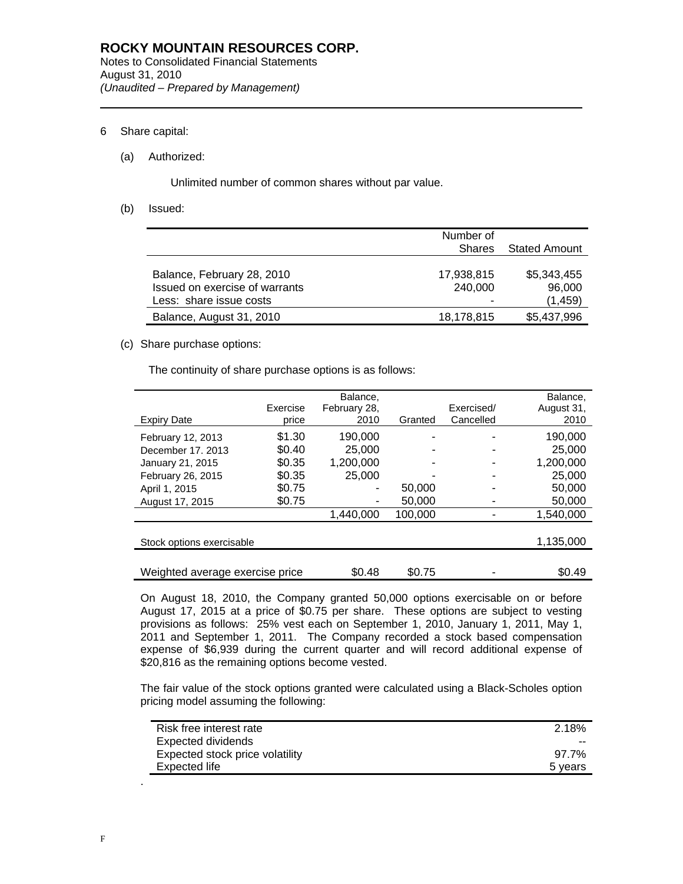## 6 Share capital:

l

### (a) Authorized:

Unlimited number of common shares without par value.

(b) Issued:

|                                | Number of     |               |
|--------------------------------|---------------|---------------|
|                                | <b>Shares</b> | Stated Amount |
|                                |               |               |
| Balance, February 28, 2010     | 17,938,815    | \$5,343,455   |
| Issued on exercise of warrants | 240,000       | 96,000        |
| Less: share issue costs        | -             | (1,459)       |
| Balance, August 31, 2010       | 18,178,815    | \$5,437,996   |

# (c) Share purchase options:

The continuity of share purchase options is as follows:

|                                 | Exercise | Balance,<br>February 28, |         | Exercised/ | Balance.<br>August 31, |
|---------------------------------|----------|--------------------------|---------|------------|------------------------|
| <b>Expiry Date</b>              | price    | 2010                     | Granted | Cancelled  | 2010                   |
| February 12, 2013               | \$1.30   | 190,000                  |         |            | 190,000                |
| December 17, 2013               | \$0.40   | 25,000                   |         |            | 25,000                 |
| January 21, 2015                | \$0.35   | 1.200.000                |         |            | 1,200,000              |
| February 26, 2015               | \$0.35   | 25,000                   |         |            | 25,000                 |
| April 1, 2015                   | \$0.75   |                          | 50,000  |            | 50,000                 |
| August 17, 2015                 | \$0.75   |                          | 50,000  |            | 50,000                 |
|                                 |          | 1,440,000                | 100.000 |            | 1,540,000              |
|                                 |          |                          |         |            |                        |
| Stock options exercisable       |          |                          |         |            | 1,135,000              |
|                                 |          |                          |         |            |                        |
| Weighted average exercise price |          | \$0.48                   | \$0.75  |            | \$0.49                 |

On August 18, 2010, the Company granted 50,000 options exercisable on or before August 17, 2015 at a price of \$0.75 per share. These options are subject to vesting provisions as follows: 25% vest each on September 1, 2010, January 1, 2011, May 1, 2011 and September 1, 2011. The Company recorded a stock based compensation expense of \$6,939 during the current quarter and will record additional expense of \$20,816 as the remaining options become vested.

The fair value of the stock options granted were calculated using a Black-Scholes option pricing model assuming the following:

| Risk free interest rate         | 2.18%   |
|---------------------------------|---------|
| Expected dividends              | $- -$   |
| Expected stock price volatility | 97.7%   |
| Expected life                   | 5 years |

.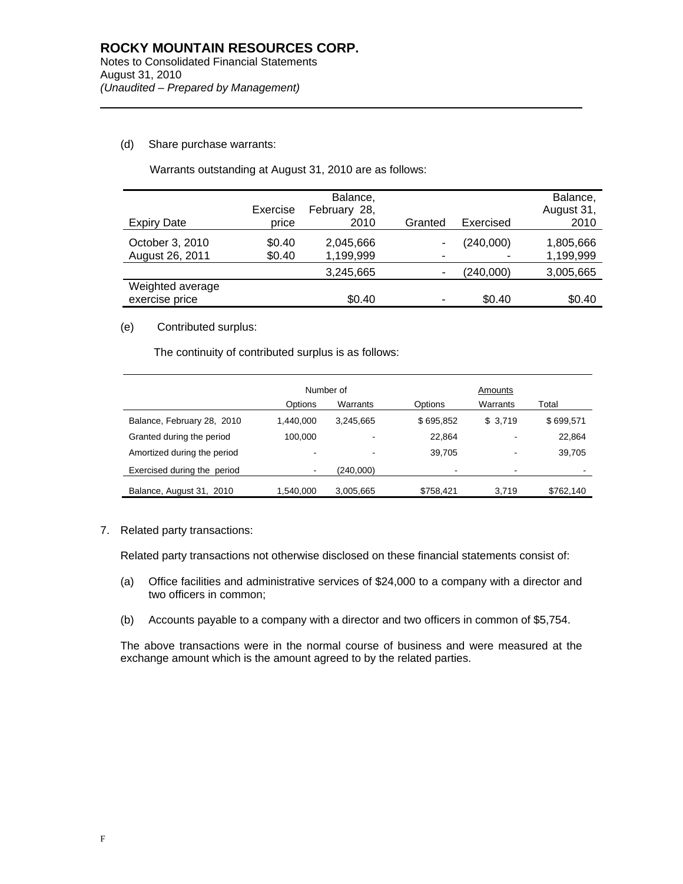# (d) Share purchase warrants:

l

| <b>Expiry Date</b>                 | Exercise<br>price | Balance,<br>February 28,<br>2010 | Granted | Exercised | Balance,<br>August 31,<br>2010 |
|------------------------------------|-------------------|----------------------------------|---------|-----------|--------------------------------|
| October 3, 2010<br>August 26, 2011 | \$0.40<br>\$0.40  | 2,045,666<br>1,199,999           |         | (240,000) | 1,805,666<br>1,199,999         |
|                                    |                   | 3,245,665                        |         | (240,000) | 3,005,665                      |
| Weighted average<br>exercise price |                   | \$0.40                           | ۰       | \$0.40    | \$0.40                         |

Warrants outstanding at August 31, 2010 are as follows:

## (e) Contributed surplus:

The continuity of contributed surplus is as follows:

|                             | Number of |           |           | Amounts  |           |  |
|-----------------------------|-----------|-----------|-----------|----------|-----------|--|
|                             | Options   | Warrants  | Options   | Warrants | Total     |  |
| Balance, February 28, 2010  | 1.440.000 | 3.245.665 | \$695,852 | \$3,719  | \$699,571 |  |
| Granted during the period   | 100.000   |           | 22.864    | ٠        | 22,864    |  |
| Amortized during the period | -         |           | 39.705    | ٠        | 39,705    |  |
| Exercised during the period | ٠         | (240,000) |           | ۰        |           |  |
| Balance, August 31, 2010    | 1,540,000 | 3,005,665 | \$758,421 | 3.719    | \$762,140 |  |

7. Related party transactions:

Related party transactions not otherwise disclosed on these financial statements consist of:

- (a) Office facilities and administrative services of \$24,000 to a company with a director and two officers in common;
- (b) Accounts payable to a company with a director and two officers in common of \$5,754.

The above transactions were in the normal course of business and were measured at the exchange amount which is the amount agreed to by the related parties.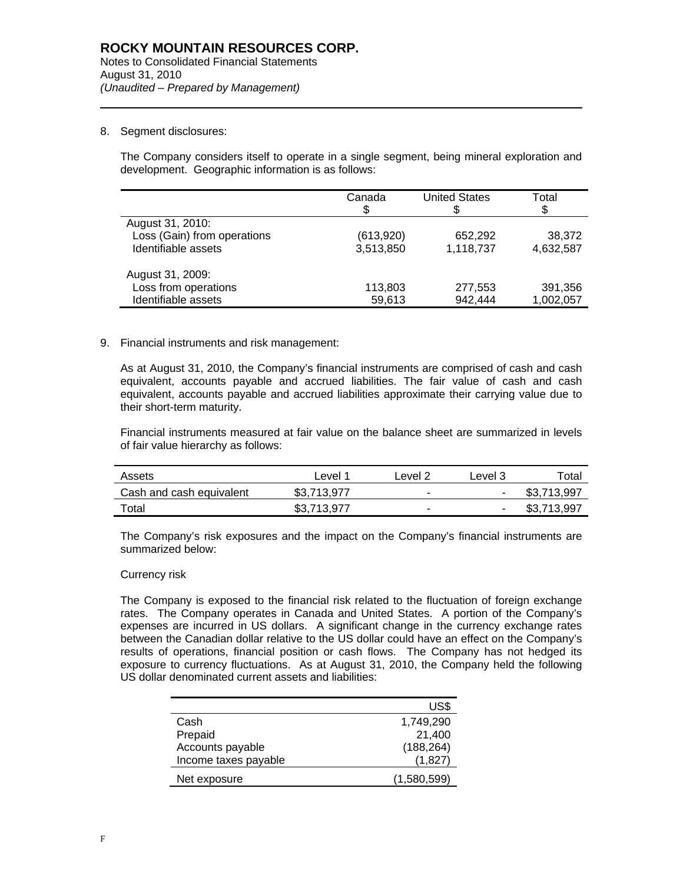## 8. Segment disclosures:

l

The Company considers itself to operate in a single segment, being mineral exploration and development. Geographic information is as follows:

|                             | Canada    | <b>United States</b> | Total<br>S |
|-----------------------------|-----------|----------------------|------------|
| August 31, 2010:            |           |                      |            |
| Loss (Gain) from operations | (613,920) | 652,292              | 38.372     |
| Identifiable assets         | 3,513,850 | 1,118,737            | 4,632,587  |
| August 31, 2009:            |           |                      |            |
| Loss from operations        | 113,803   | 277,553              | 391,356    |
| Identifiable assets         | 59,613    | 942,444              | 1,002,057  |

### 9. Financial instruments and risk management:

As at August 31, 2010, the Company's financial instruments are comprised of cash and cash equivalent, accounts payable and accrued liabilities. The fair value of cash and cash equivalent, accounts payable and accrued liabilities approximate their carrying value due to their short-term maturity.

Financial instruments measured at fair value on the balance sheet are summarized in levels of fair value hierarchy as follows:

| Assets                   | Level 1     | Level 2 | Level 3        | $\tau$ otal |
|--------------------------|-------------|---------|----------------|-------------|
| Cash and cash equivalent | \$3.713.977 | ۰       | $\sim$         | \$3,713,997 |
| Total                    | \$3.713.977 |         | $\blacksquare$ | \$3,713,997 |

The Company's risk exposures and the impact on the Company's financial instruments are summarized below:

#### Currency risk

The Company is exposed to the financial risk related to the fluctuation of foreign exchange rates. The Company operates in Canada and United States. A portion of the Company's expenses are incurred in US dollars. A significant change in the currency exchange rates between the Canadian dollar relative to the US dollar could have an effect on the Company's results of operations, financial position or cash flows. The Company has not hedged its exposure to currency fluctuations. As at August 31, 2010, the Company held the following US dollar denominated current assets and liabilities:

|                      | US\$        |
|----------------------|-------------|
| Cash                 | 1,749,290   |
| Prepaid              | 21,400      |
| Accounts payable     | (188, 264)  |
| Income taxes payable | (1,827)     |
| Net exposure         | (1,580,599) |